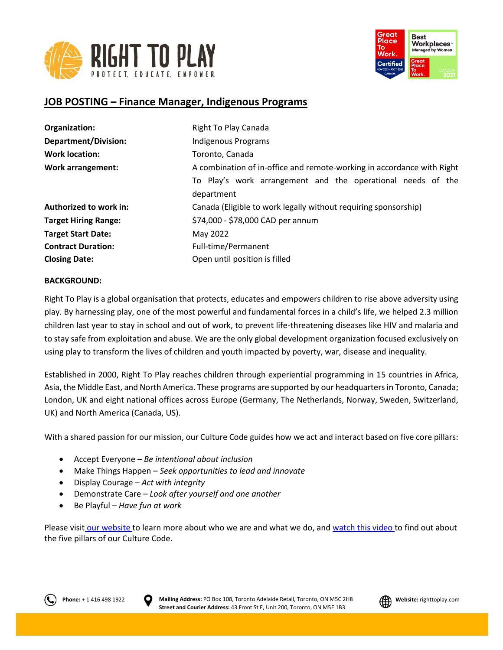



# **JOB POSTING – Finance Manager, Indigenous Programs**

| Organization:               | Right To Play Canada                                                      |
|-----------------------------|---------------------------------------------------------------------------|
| <b>Department/Division:</b> | Indigenous Programs                                                       |
| <b>Work location:</b>       | Toronto, Canada                                                           |
| <b>Work arrangement:</b>    | A combination of in-office and remote-working in accordance with Right    |
|                             | To Play's work arrangement and the operational needs of the<br>department |
| Authorized to work in:      | Canada (Eligible to work legally without requiring sponsorship)           |
| <b>Target Hiring Range:</b> | \$74,000 - \$78,000 CAD per annum                                         |
| <b>Target Start Date:</b>   | May 2022                                                                  |
| <b>Contract Duration:</b>   | Full-time/Permanent                                                       |
| <b>Closing Date:</b>        | Open until position is filled                                             |

### **BACKGROUND:**

Right To Play is a global organisation that protects, educates and empowers children to rise above adversity using play. By harnessing play, one of the most powerful and fundamental forces in a child's life, we helped 2.3 million children last year to stay in school and out of work, to prevent life-threatening diseases like HIV and malaria and to stay safe from exploitation and abuse. We are the only global development organization focused exclusively on using play to transform the lives of children and youth impacted by poverty, war, disease and inequality.

Established in 2000, Right To Play reaches children through experiential programming in 15 countries in Africa, Asia, the Middle East, and North America. These programs are supported by our headquarters in Toronto, Canada; London, UK and eight national offices across Europe (Germany, The Netherlands, Norway, Sweden, Switzerland, UK) and North America (Canada, US).

With a shared passion for our mission, our Culture Code guides how we act and interact based on five core pillars:

- Accept Everyone *Be intentional about inclusion*
- Make Things Happen *Seek opportunities to lead and innovate*
- Display Courage *Act with integrity*
- Demonstrate Care *Look after yourself and one another*
- Be Playful *Have fun at work*

Please visit [our website](http://www.righttoplay.ca/) to learn more about who we are and what we do, and [watch this video](https://www.righttoplay.com/en/landing/our-culture-code/) to find out about the five pillars of our Culture Code.



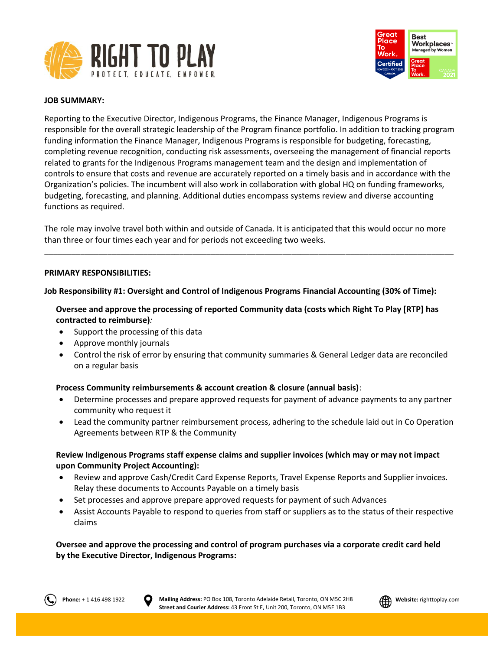



### **JOB SUMMARY:**

Reporting to the Executive Director, Indigenous Programs, the Finance Manager, Indigenous Programs is responsible for the overall strategic leadership of the Program finance portfolio. In addition to tracking program funding information the Finance Manager, Indigenous Programs is responsible for budgeting, forecasting, completing revenue recognition, conducting risk assessments, overseeing the management of financial reports related to grants for the Indigenous Programs management team and the design and implementation of controls to ensure that costs and revenue are accurately reported on a timely basis and in accordance with the Organization's policies. The incumbent will also work in collaboration with global HQ on funding frameworks, budgeting, forecasting, and planning. Additional duties encompass systems review and diverse accounting functions as required.

The role may involve travel both within and outside of Canada. It is anticipated that this would occur no more than three or four times each year and for periods not exceeding two weeks.

\_\_\_\_\_\_\_\_\_\_\_\_\_\_\_\_\_\_\_\_\_\_\_\_\_\_\_\_\_\_\_\_\_\_\_\_\_\_\_\_\_\_\_\_\_\_\_\_\_\_\_\_\_\_\_\_\_\_\_\_\_\_\_\_\_\_\_\_\_\_\_\_\_\_\_\_\_\_\_\_\_\_\_\_\_\_\_\_\_\_\_

### **PRIMARY RESPONSIBILITIES:**

### **Job Responsibility #1: Oversight and Control of Indigenous Programs Financial Accounting (30% of Time):**

**Oversee and approve the processing of reported Community data (costs which Right To Play [RTP] has contracted to reimburse)***:*

- Support the processing of this data
- Approve monthly journals
- Control the risk of error by ensuring that community summaries & General Ledger data are reconciled on a regular basis

#### **Process Community reimbursements & account creation & closure (annual basis)**:

- Determine processes and prepare approved requests for payment of advance payments to any partner community who request it
- Lead the community partner reimbursement process, adhering to the schedule laid out in Co Operation Agreements between RTP & the Community

## **Review Indigenous Programs staff expense claims and supplier invoices (which may or may not impact upon Community Project Accounting):**

- Review and approve Cash/Credit Card Expense Reports, Travel Expense Reports and Supplier invoices. Relay these documents to Accounts Payable on a timely basis
- Set processes and approve prepare approved requests for payment of such Advances
- Assist Accounts Payable to respond to queries from staff or suppliers as to the status of their respective claims

**Oversee and approve the processing and control of program purchases via a corporate credit card held by the Executive Director, Indigenous Programs:**



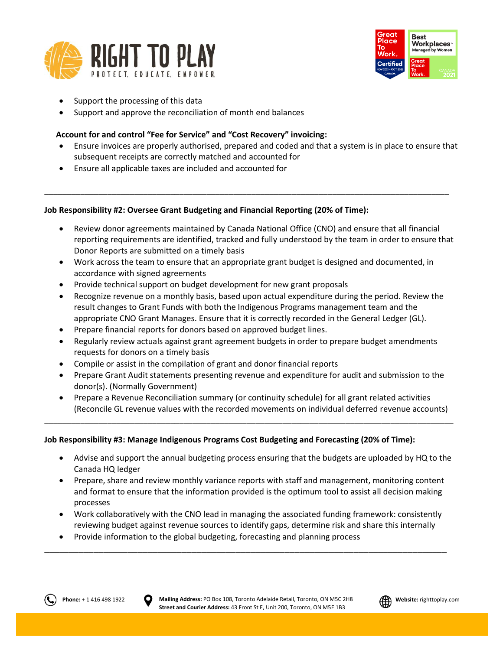



- Support the processing of this data
- Support and approve the reconciliation of month end balances

## **Account for and control "Fee for Service" and "Cost Recovery" invoicing:**

- Ensure invoices are properly authorised, prepared and coded and that a system is in place to ensure that subsequent receipts are correctly matched and accounted for
- Ensure all applicable taxes are included and accounted for

## **Job Responsibility #2: Oversee Grant Budgeting and Financial Reporting (20% of Time):**

- Review donor agreements maintained by Canada National Office (CNO) and ensure that all financial reporting requirements are identified, tracked and fully understood by the team in order to ensure that Donor Reports are submitted on a timely basis
- Work across the team to ensure that an appropriate grant budget is designed and documented, in accordance with signed agreements

\_\_\_\_\_\_\_\_\_\_\_\_\_\_\_\_\_\_\_\_\_\_\_\_\_\_\_\_\_\_\_\_\_\_\_\_\_\_\_\_\_\_\_\_\_\_\_\_\_\_\_\_\_\_\_\_\_\_\_\_\_\_\_\_\_\_\_\_\_\_\_\_\_\_\_\_\_\_\_\_\_\_\_\_\_\_\_\_\_\_

- Provide technical support on budget development for new grant proposals
- Recognize revenue on a monthly basis, based upon actual expenditure during the period. Review the result changes to Grant Funds with both the Indigenous Programs management team and the appropriate CNO Grant Manages. Ensure that it is correctly recorded in the General Ledger (GL).
- Prepare financial reports for donors based on approved budget lines.
- Regularly review actuals against grant agreement budgets in order to prepare budget amendments requests for donors on a timely basis
- Compile or assist in the compilation of grant and donor financial reports
- Prepare Grant Audit statements presenting revenue and expenditure for audit and submission to the donor(s). (Normally Government)
- Prepare a Revenue Reconciliation summary (or continuity schedule) for all grant related activities (Reconcile GL revenue values with the recorded movements on individual deferred revenue accounts)

\_\_\_\_\_\_\_\_\_\_\_\_\_\_\_\_\_\_\_\_\_\_\_\_\_\_\_\_\_\_\_\_\_\_\_\_\_\_\_\_\_\_\_\_\_\_\_\_\_\_\_\_\_\_\_\_\_\_\_\_\_\_\_\_\_\_\_\_\_\_\_\_\_\_\_\_\_\_\_\_\_\_\_\_\_\_\_\_\_\_\_

### **Job Responsibility #3: Manage Indigenous Programs Cost Budgeting and Forecasting (20% of Time):**

- Advise and support the annual budgeting process ensuring that the budgets are uploaded by HQ to the Canada HQ ledger
- Prepare, share and review monthly variance reports with staff and management, monitoring content and format to ensure that the information provided is the optimum tool to assist all decision making processes
- Work collaboratively with the CNO lead in managing the associated funding framework: consistently reviewing budget against revenue sources to identify gaps, determine risk and share this internally

\_\_\_\_\_\_\_\_\_\_\_\_\_\_\_\_\_\_\_\_\_\_\_\_\_\_\_\_\_\_\_\_\_\_\_\_\_\_\_\_\_\_\_\_\_\_\_\_\_\_\_\_\_\_\_\_\_\_\_\_\_\_\_\_\_\_\_\_\_\_\_\_\_\_\_\_\_\_\_\_\_\_

• Provide information to the global budgeting, forecasting and planning process

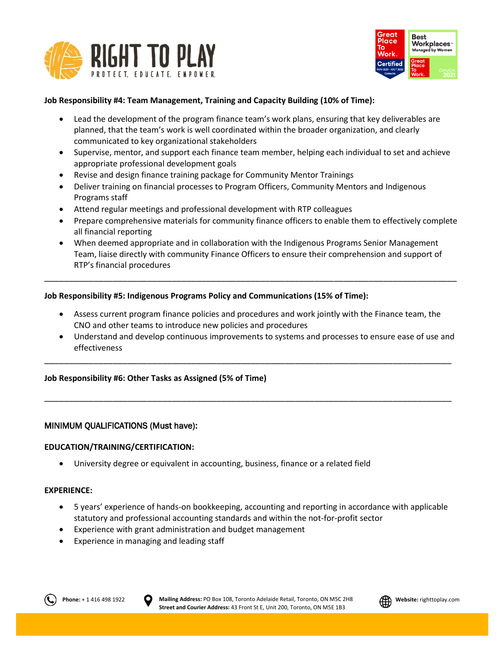



## **Job Responsibility #4: Team Management, Training and Capacity Building (10% of Time):**

- Lead the development of the program finance team's work plans, ensuring that key deliverables are planned, that the team's work is well coordinated within the broader organization, and clearly communicated to key organizational stakeholders
- Supervise, mentor, and support each finance team member, helping each individual to set and achieve appropriate professional development goals
- Revise and design finance training package for Community Mentor Trainings
- Deliver training on financial processes to Program Officers, Community Mentors and Indigenous Programs staff
- Attend regular meetings and professional development with RTP colleagues
- Prepare comprehensive materials for community finance officers to enable them to effectively complete all financial reporting
- When deemed appropriate and in collaboration with the Indigenous Programs Senior Management Team, liaise directly with community Finance Officers to ensure their comprehension and support of RTP's financial procedures

\_\_\_\_\_\_\_\_\_\_\_\_\_\_\_\_\_\_\_\_\_\_\_\_\_\_\_\_\_\_\_\_\_\_\_\_\_\_\_\_\_\_\_\_\_\_\_\_\_\_\_\_\_\_\_\_\_\_\_\_\_\_\_\_\_\_\_\_\_\_\_\_\_\_\_\_\_\_\_\_\_\_\_\_

### **Job Responsibility #5: Indigenous Programs Policy and Communications (15% of Time):**

• Assess current program finance policies and procedures and work jointly with the Finance team, the CNO and other teams to introduce new policies and procedures

\_\_\_\_\_\_\_\_\_\_\_\_\_\_\_\_\_\_\_\_\_\_\_\_\_\_\_\_\_\_\_\_\_\_\_\_\_\_\_\_\_\_\_\_\_\_\_\_\_\_\_\_\_\_\_\_\_\_\_\_\_\_\_\_\_\_\_\_\_\_\_\_\_\_\_\_\_\_\_\_\_\_\_

\_\_\_\_\_\_\_\_\_\_\_\_\_\_\_\_\_\_\_\_\_\_\_\_\_\_\_\_\_\_\_\_\_\_\_\_\_\_\_\_\_\_\_\_\_\_\_\_\_\_\_\_\_\_\_\_\_\_\_\_\_\_\_\_\_\_\_\_\_\_\_\_\_\_\_\_\_\_\_\_\_\_\_

• Understand and develop continuous improvements to systems and processes to ensure ease of use and effectiveness

#### **Job Responsibility #6: Other Tasks as Assigned (5% of Time)**

### MINIMUM QUALIFICATIONS (Must have):

#### **EDUCATION/TRAINING/CERTIFICATION:**

• University degree or equivalent in accounting, business, finance or a related field

#### **EXPERIENCE:**

- 5 years' experience of hands-on bookkeeping, accounting and reporting in accordance with applicable statutory and professional accounting standards and within the not-for-profit sector
- Experience with grant administration and budget management
- Experience in managing and leading staff



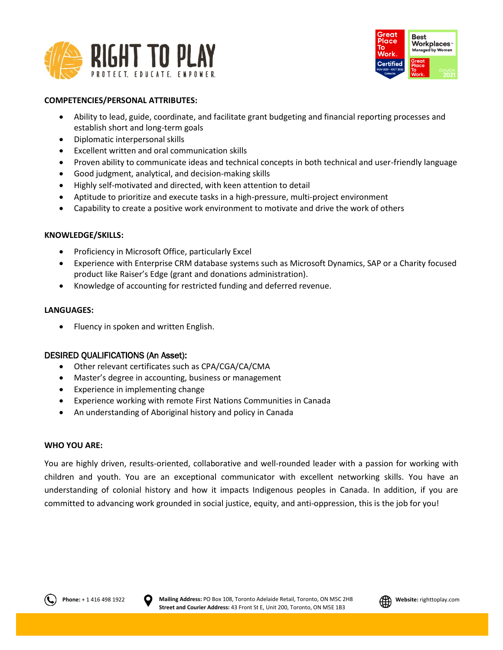



### **COMPETENCIES/PERSONAL ATTRIBUTES:**

- Ability to lead, guide, coordinate, and facilitate grant budgeting and financial reporting processes and establish short and long-term goals
- Diplomatic interpersonal skills
- Excellent written and oral communication skills
- Proven ability to communicate ideas and technical concepts in both technical and user-friendly language
- Good judgment, analytical, and decision-making skills
- Highly self-motivated and directed, with keen attention to detail
- Aptitude to prioritize and execute tasks in a high-pressure, multi-project environment
- Capability to create a positive work environment to motivate and drive the work of others

### **KNOWLEDGE/SKILLS:**

- Proficiency in Microsoft Office, particularly Excel
- Experience with Enterprise CRM database systems such as Microsoft Dynamics, SAP or a Charity focused product like Raiser's Edge (grant and donations administration).
- Knowledge of accounting for restricted funding and deferred revenue.

### **LANGUAGES:**

• Fluency in spoken and written English.

## DESIRED QUALIFICATIONS (An Asset):

- Other relevant certificates such as CPA/CGA/CA/CMA
- Master's degree in accounting, business or management
- Experience in implementing change
- Experience working with remote First Nations Communities in Canada
- An understanding of Aboriginal history and policy in Canada

### **WHO YOU ARE:**

You are highly driven, results-oriented, collaborative and well-rounded leader with a passion for working with children and youth. You are an exceptional communicator with excellent networking skills. You have an understanding of colonial history and how it impacts Indigenous peoples in Canada. In addition, if you are committed to advancing work grounded in social justice, equity, and anti-oppression, this is the job for you!